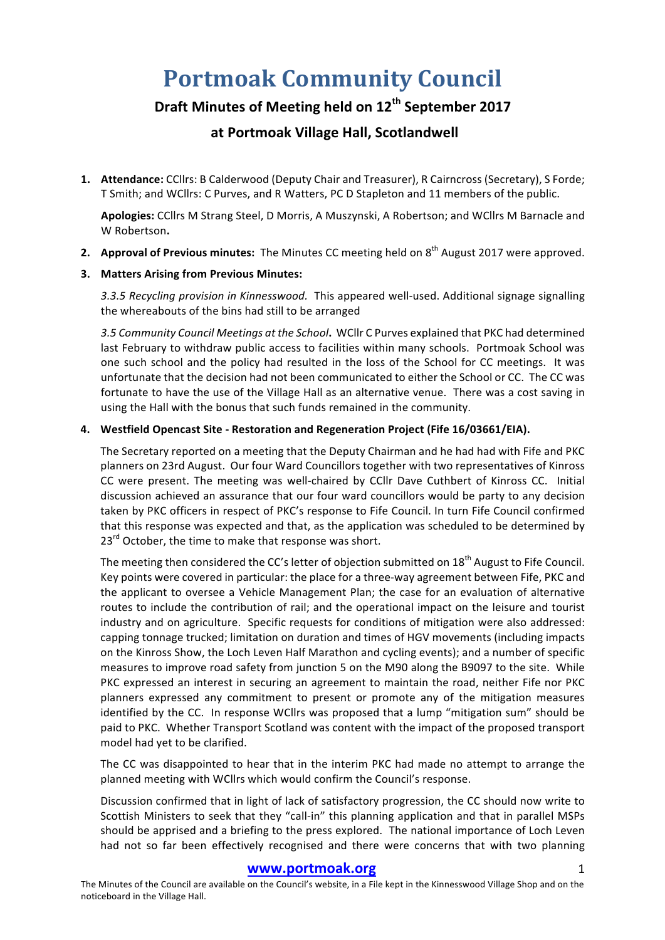# **Portmoak Community Council**

## **Draft Minutes of Meeting held on 12th September 2017**

### **at Portmoak Village Hall, Scotlandwell**

1. **Attendance:** CCllrs: B Calderwood (Deputy Chair and Treasurer), R Cairncross (Secretary), S Forde; T Smith; and WCllrs: C Purves, and R Watters, PC D Stapleton and 11 members of the public.

Apologies: CCllrs M Strang Steel, D Morris, A Muszynski, A Robertson; and WCllrs M Barnacle and W Robertson**.**

**2.** Approval of Previous minutes: The Minutes CC meeting held on 8<sup>th</sup> August 2017 were approved.

#### **3. Matters Arising from Previous Minutes:**

3.3.5 Recycling provision in Kinnesswood. This appeared well-used. Additional signage signalling the whereabouts of the bins had still to be arranged

3.5 Community Council Meetings at the School. WCllr C Purves explained that PKC had determined last February to withdraw public access to facilities within many schools. Portmoak School was one such school and the policy had resulted in the loss of the School for CC meetings. It was unfortunate that the decision had not been communicated to either the School or CC. The CC was fortunate to have the use of the Village Hall as an alternative venue. There was a cost saving in using the Hall with the bonus that such funds remained in the community.

#### **4. Westfield Opencast Site - Restoration and Regeneration Project (Fife 16/03661/EIA).**

The Secretary reported on a meeting that the Deputy Chairman and he had had with Fife and PKC planners on 23rd August. Our four Ward Councillors together with two representatives of Kinross CC were present. The meeting was well-chaired by CCllr Dave Cuthbert of Kinross CC. Initial discussion achieved an assurance that our four ward councillors would be party to any decision taken by PKC officers in respect of PKC's response to Fife Council. In turn Fife Council confirmed that this response was expected and that, as the application was scheduled to be determined by  $23^{rd}$  October, the time to make that response was short.

The meeting then considered the CC's letter of objection submitted on 18<sup>th</sup> August to Fife Council. Key points were covered in particular: the place for a three-way agreement between Fife, PKC and the applicant to oversee a Vehicle Management Plan; the case for an evaluation of alternative routes to include the contribution of rail; and the operational impact on the leisure and tourist industry and on agriculture. Specific requests for conditions of mitigation were also addressed: capping tonnage trucked; limitation on duration and times of HGV movements (including impacts on the Kinross Show, the Loch Leven Half Marathon and cycling events); and a number of specific measures to improve road safety from junction 5 on the M90 along the B9097 to the site. While PKC expressed an interest in securing an agreement to maintain the road, neither Fife nor PKC planners expressed any commitment to present or promote any of the mitigation measures identified by the CC. In response WCllrs was proposed that a lump "mitigation sum" should be paid to PKC. Whether Transport Scotland was content with the impact of the proposed transport model had yet to be clarified.

The CC was disappointed to hear that in the interim PKC had made no attempt to arrange the planned meeting with WCllrs which would confirm the Council's response.

Discussion confirmed that in light of lack of satisfactory progression, the CC should now write to Scottish Ministers to seek that they "call-in" this planning application and that in parallel MSPs should be apprised and a briefing to the press explored. The national importance of Loch Leven had not so far been effectively recognised and there were concerns that with two planning

#### www.portmoak.org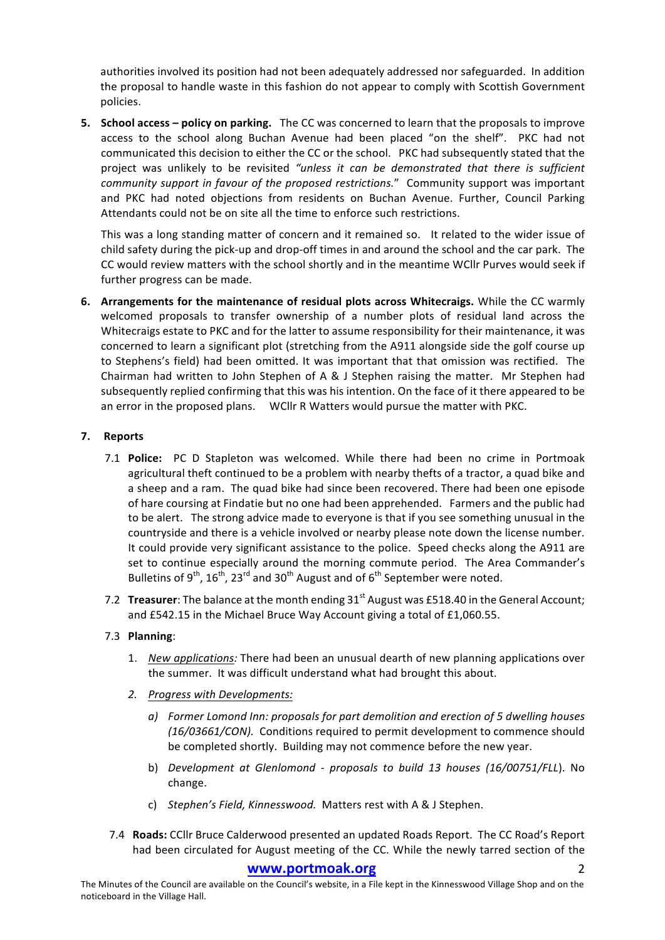authorities involved its position had not been adequately addressed nor safeguarded. In addition the proposal to handle waste in this fashion do not appear to comply with Scottish Government policies. 

**5. School access – policy on parking.** The CC was concerned to learn that the proposals to improve access to the school along Buchan Avenue had been placed "on the shelf". PKC had not communicated this decision to either the CC or the school. PKC had subsequently stated that the project was unlikely to be revisited "unless it can be demonstrated that there is sufficient *community support in favour of the proposed restrictions.*" Community support was important and PKC had noted objections from residents on Buchan Avenue. Further, Council Parking Attendants could not be on site all the time to enforce such restrictions.

This was a long standing matter of concern and it remained so. It related to the wider issue of child safety during the pick-up and drop-off times in and around the school and the car park. The CC would review matters with the school shortly and in the meantime WCllr Purves would seek if further progress can be made.

**6.** Arrangements for the maintenance of residual plots across Whitecraigs. While the CC warmly welcomed proposals to transfer ownership of a number plots of residual land across the Whitecraigs estate to PKC and for the latter to assume responsibility for their maintenance, it was concerned to learn a significant plot (stretching from the A911 alongside side the golf course up to Stephens's field) had been omitted. It was important that that omission was rectified. The Chairman had written to John Stephen of A & J Stephen raising the matter. Mr Stephen had subsequently replied confirming that this was his intention. On the face of it there appeared to be an error in the proposed plans. WCllr R Watters would pursue the matter with PKC.

#### **7. Reports**

- 7.1 **Police:** PC D Stapleton was welcomed. While there had been no crime in Portmoak agricultural theft continued to be a problem with nearby thefts of a tractor, a quad bike and a sheep and a ram. The quad bike had since been recovered. There had been one episode of hare coursing at Findatie but no one had been apprehended. Farmers and the public had to be alert. The strong advice made to everyone is that if you see something unusual in the countryside and there is a vehicle involved or nearby please note down the license number. It could provide very significant assistance to the police. Speed checks along the A911 are set to continue especially around the morning commute period. The Area Commander's Bulletins of  $9^{th}$ ,  $16^{th}$ ,  $23^{rd}$  and  $30^{th}$  August and of  $6^{th}$  September were noted.
- 7.2 **Treasurer**: The balance at the month ending 31<sup>st</sup> August was £518.40 in the General Account; and £542.15 in the Michael Bruce Way Account giving a total of £1,060.55.

#### 7.3 **Planning**:

- 1. *New applications:* There had been an unusual dearth of new planning applications over the summer. It was difficult understand what had brought this about.
- *2. Progress with Developments:*
	- a) Former Lomond Inn: proposals for part demolition and erection of 5 dwelling houses *(16/03661/CON).* Conditions required to permit development to commence should be completed shortly. Building may not commence before the new year.
	- b) *Development at Glenlomond - proposals to build 13 houses (16/00751/FLL*). No change.
	- c) *Stephen's Field, Kinnesswood.* Matters rest with A & J Stephen.
- 7.4 **Roads:** CCllr Bruce Calderwood presented an updated Roads Report. The CC Road's Report had been circulated for August meeting of the CC. While the newly tarred section of the

#### **www.portmoak.org** 2